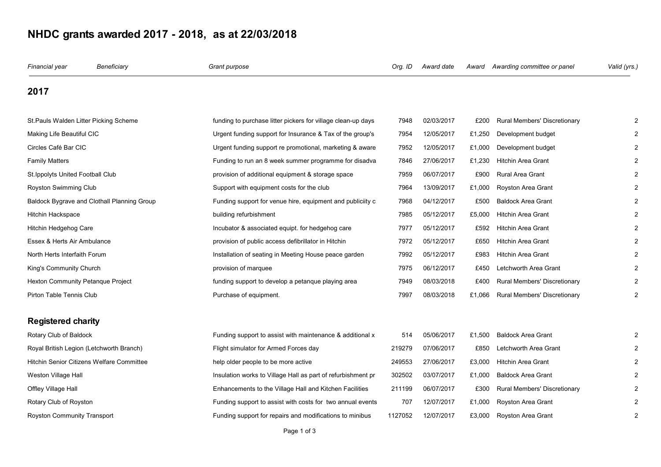## **NHDC grants awarded 2017 - 2018, as at 22/03/2018**

| Financial year                              | Beneficiary | Grant purpose                                                | Org. ID | Award date | Award  | Awarding committee or panel         | Valid (yrs.) |
|---------------------------------------------|-------------|--------------------------------------------------------------|---------|------------|--------|-------------------------------------|--------------|
| 2017                                        |             |                                                              |         |            |        |                                     |              |
| St. Pauls Walden Litter Picking Scheme      |             | funding to purchase litter pickers for village clean-up days | 7948    | 02/03/2017 | £200   | <b>Rural Members' Discretionary</b> |              |
| Making Life Beautiful CIC                   |             | Urgent funding support for Insurance & Tax of the group's    | 7954    | 12/05/2017 | £1,250 | Development budget                  |              |
| Circles Café Bar CIC                        |             | Urgent funding support re promotional, marketing & aware     | 7952    | 12/05/2017 | £1,000 | Development budget                  |              |
| <b>Family Matters</b>                       |             | Funding to run an 8 week summer programme for disadva        | 7846    | 27/06/2017 | £1,230 | <b>Hitchin Area Grant</b>           |              |
| St. Ippolyts United Football Club           |             | provision of additional equipment & storage space            | 7959    | 06/07/2017 | £900   | Rural Area Grant                    |              |
| Royston Swimming Club                       |             | Support with equipment costs for the club                    | 7964    | 13/09/2017 | £1,000 | Royston Area Grant                  |              |
| Baldock Bygrave and Clothall Planning Group |             | Funding support for venue hire, equipment and publiciity c   | 7968    | 04/12/2017 | £500   | <b>Baldock Area Grant</b>           |              |
| Hitchin Hackspace                           |             | building refurbishment                                       | 7985    | 05/12/2017 | £5,000 | <b>Hitchin Area Grant</b>           |              |
| Hitchin Hedgehog Care                       |             | Incubator & associated equipt. for hedgehog care             | 7977    | 05/12/2017 | £592   | <b>Hitchin Area Grant</b>           |              |
| Essex & Herts Air Ambulance                 |             | provision of public access defibrillator in Hitchin          | 7972    | 05/12/2017 | £650   | <b>Hitchin Area Grant</b>           |              |
| North Herts Interfaith Forum                |             | Installation of seating in Meeting House peace garden        | 7992    | 05/12/2017 | £983   | <b>Hitchin Area Grant</b>           |              |
| King's Community Church                     |             | provision of marquee                                         | 7975    | 06/12/2017 | £450   | Letchworth Area Grant               |              |
| Hexton Community Petanque Project           |             | funding support to develop a petanque playing area           | 7949    | 08/03/2018 | £400   | Rural Members' Discretionary        |              |
| Pirton Table Tennis Club                    |             | Purchase of equipment.                                       | 7997    | 08/03/2018 | £1,066 | Rural Members' Discretionary        |              |
| <b>Registered charity</b>                   |             |                                                              |         |            |        |                                     |              |
| Rotary Club of Baldock                      |             | Funding support to assist with maintenance & additional x    | 514     | 05/06/2017 | £1,500 | <b>Baldock Area Grant</b>           |              |
| Royal British Legion (Letchworth Branch)    |             | Flight simulator for Armed Forces day                        | 219279  | 07/06/2017 | £850   | Letchworth Area Grant               |              |
| Hitchin Senior Citizens Welfare Committee   |             | help older people to be more active                          | 249553  | 27/06/2017 | £3,000 | <b>Hitchin Area Grant</b>           |              |
| Weston Village Hall                         |             | Insulation works to Village Hall as part of refurbishment pr | 302502  | 03/07/2017 | £1,000 | <b>Baldock Area Grant</b>           |              |
| Offley Village Hall                         |             | Enhancements to the Village Hall and Kitchen Facilities      | 211199  | 06/07/2017 | £300   | Rural Members' Discretionary        |              |
| Rotary Club of Royston                      |             | Funding support to assist with costs for two annual events   | 707     | 12/07/2017 | £1,000 | Royston Area Grant                  |              |
| Royston Community Transport                 |             | Funding support for repairs and modifications to minibus     | 1127052 | 12/07/2017 | £3,000 | Royston Area Grant                  |              |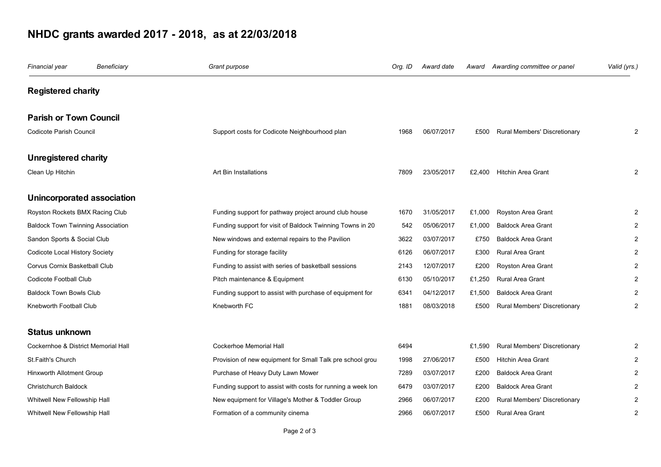## **NHDC grants awarded 2017 - 2018, as at 22/03/2018**

| Financial year                           | Beneficiary | Grant purpose                                               | Org. ID | Award date | Award  | Awarding committee or panel  | Valid (yrs.)   |
|------------------------------------------|-------------|-------------------------------------------------------------|---------|------------|--------|------------------------------|----------------|
| <b>Registered charity</b>                |             |                                                             |         |            |        |                              |                |
| <b>Parish or Town Council</b>            |             |                                                             |         |            |        |                              |                |
| Codicote Parish Council                  |             | Support costs for Codicote Neighbourhood plan               | 1968    | 06/07/2017 | £500   | Rural Members' Discretionary | 2              |
| <b>Unregistered charity</b>              |             |                                                             |         |            |        |                              |                |
| Clean Up Hitchin                         |             | Art Bin Installations                                       | 7809    | 23/05/2017 | £2,400 | <b>Hitchin Area Grant</b>    |                |
| Unincorporated association               |             |                                                             |         |            |        |                              |                |
| Royston Rockets BMX Racing Club          |             | Funding support for pathway project around club house       | 1670    | 31/05/2017 | £1,000 | Royston Area Grant           |                |
| <b>Baldock Town Twinning Association</b> |             | Funding support for visit of Baldock Twinning Towns in 20   | 542     | 05/06/2017 | £1,000 | <b>Baldock Area Grant</b>    |                |
| Sandon Sports & Social Club              |             | New windows and external repairs to the Pavilion            | 3622    | 03/07/2017 | £750   | <b>Baldock Area Grant</b>    |                |
| Codicote Local History Society           |             | Funding for storage facility                                | 6126    | 06/07/2017 | £300   | Rural Area Grant             | $\overline{2}$ |
| Corvus Cornix Basketball Club            |             | Funding to assist with series of basketball sessions        | 2143    | 12/07/2017 | £200   | Royston Area Grant           |                |
| Codicote Football Club                   |             | Pitch maintenance & Equipment                               | 6130    | 05/10/2017 | £1,250 | Rural Area Grant             |                |
| <b>Baldock Town Bowls Club</b>           |             | Funding support to assist with purchase of equipment for    | 6341    | 04/12/2017 | £1,500 | <b>Baldock Area Grant</b>    |                |
| Knebworth Football Club                  |             | Knebworth FC                                                | 1881    | 08/03/2018 | £500   | Rural Members' Discretionary |                |
| <b>Status unknown</b>                    |             |                                                             |         |            |        |                              |                |
| Cockernhoe & District Memorial Hall      |             | Cockerhoe Memorial Hall                                     | 6494    |            | £1,590 | Rural Members' Discretionary |                |
| St.Faith's Church                        |             | Provision of new equipment for Small Talk pre school grou   | 1998    | 27/06/2017 | £500   | <b>Hitchin Area Grant</b>    |                |
| Hinxworth Allotment Group                |             | Purchase of Heavy Duty Lawn Mower                           | 7289    | 03/07/2017 | £200   | <b>Baldock Area Grant</b>    | $\overline{2}$ |
| Christchurch Baldock                     |             | Funding support to assist with costs for running a week lon | 6479    | 03/07/2017 | £200   | <b>Baldock Area Grant</b>    |                |
| Whitwell New Fellowship Hall             |             | New equipment for Village's Mother & Toddler Group          | 2966    | 06/07/2017 | £200   | Rural Members' Discretionary |                |
| Whitwell New Fellowship Hall             |             | Formation of a community cinema                             | 2966    | 06/07/2017 | £500   | <b>Rural Area Grant</b>      | 2              |
|                                          |             |                                                             |         |            |        |                              |                |